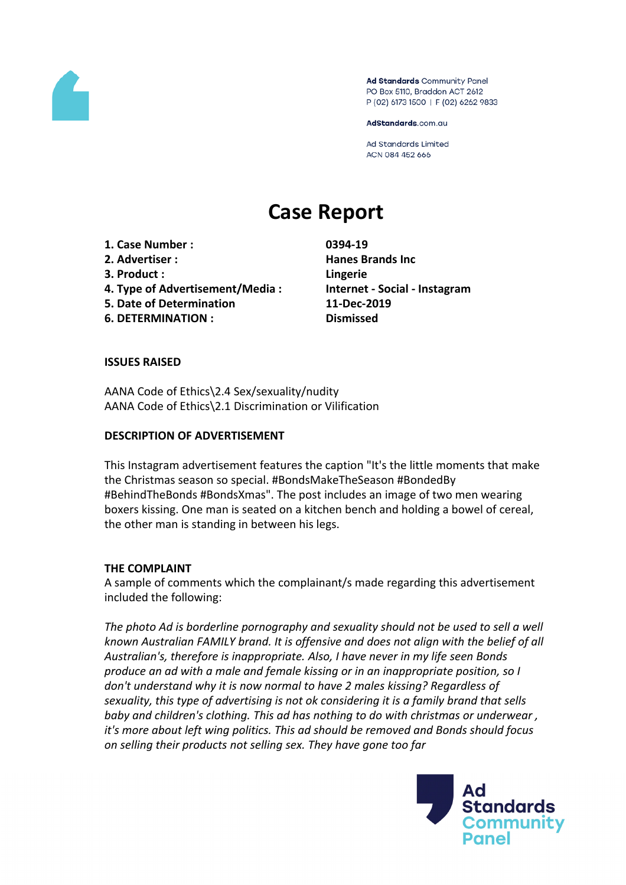

Ad Standards Community Panel PO Box 5110, Braddon ACT 2612 P (02) 6173 1500 | F (02) 6262 9833

AdStandards.com.au

**Ad Standards Limited** ACN 084 452 666

# **Case Report**

**1. Case Number : 0394-19**

- 
- **3. Product : Lingerie**
- **4. Type of Advertisement/Media : Internet - Social - Instagram**
- **5. Date of Determination 11-Dec-2019**
- **6. DETERMINATION : Dismissed**

**2. Advertiser : Hanes Brands Inc**

# **ISSUES RAISED**

AANA Code of Ethics\2.4 Sex/sexuality/nudity AANA Code of Ethics\2.1 Discrimination or Vilification

# **DESCRIPTION OF ADVERTISEMENT**

This Instagram advertisement features the caption "It's the little moments that make the Christmas season so special. #BondsMakeTheSeason #BondedBy #BehindTheBonds #BondsXmas". The post includes an image of two men wearing boxers kissing. One man is seated on a kitchen bench and holding a bowel of cereal, the other man is standing in between his legs.

### **THE COMPLAINT**

A sample of comments which the complainant/s made regarding this advertisement included the following:

*The photo Ad is borderline pornography and sexuality should not be used to sell a well known Australian FAMILY brand. It is offensive and does not align with the belief of all Australian's, therefore is inappropriate. Also, I have never in my life seen Bonds produce an ad with a male and female kissing or in an inappropriate position, so I don't understand why it is now normal to have 2 males kissing? Regardless of sexuality, this type of advertising is not ok considering it is a family brand that sells baby and children's clothing. This ad has nothing to do with christmas or underwear , it's more about left wing politics. This ad should be removed and Bonds should focus on selling their products not selling sex. They have gone too far*

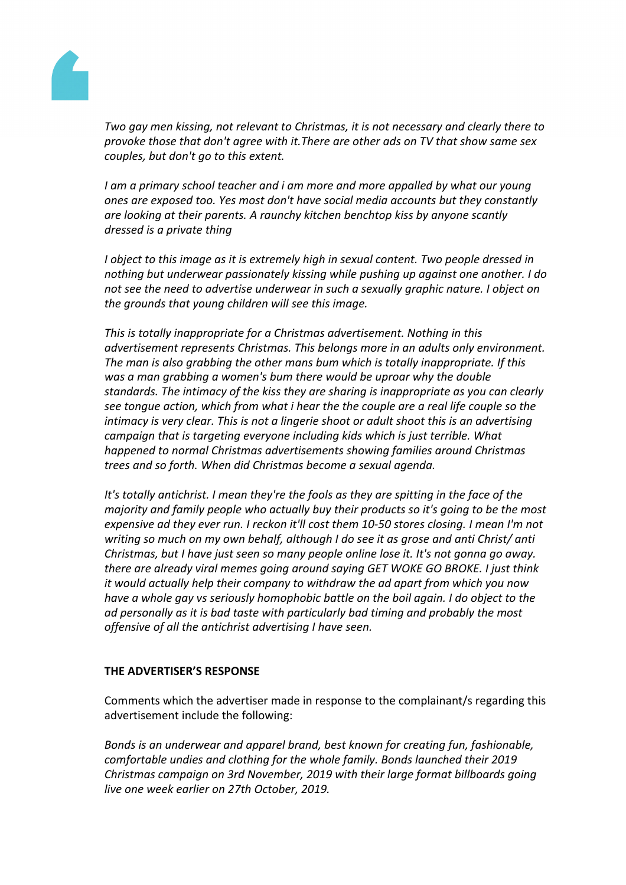

*Two gay men kissing, not relevant to Christmas, it is not necessary and clearly there to provoke those that don't agree with it.There are other ads on TV that show same sex couples, but don't go to this extent.*

*I am a primary school teacher and i am more and more appalled by what our young ones are exposed too. Yes most don't have social media accounts but they constantly are looking at their parents. A raunchy kitchen benchtop kiss by anyone scantly dressed is a private thing*

*I object to this image as it is extremely high in sexual content. Two people dressed in nothing but underwear passionately kissing while pushing up against one another. I do not see the need to advertise underwear in such a sexually graphic nature. I object on the grounds that young children will see this image.*

*This is totally inappropriate for a Christmas advertisement. Nothing in this advertisement represents Christmas. This belongs more in an adults only environment. The man is also grabbing the other mans bum which is totally inappropriate. If this was a man grabbing a women's bum there would be uproar why the double standards. The intimacy of the kiss they are sharing is inappropriate as you can clearly see tongue action, which from what i hear the the couple are a real life couple so the intimacy is very clear. This is not a lingerie shoot or adult shoot this is an advertising campaign that is targeting everyone including kids which is just terrible. What happened to normal Christmas advertisements showing families around Christmas trees and so forth. When did Christmas become a sexual agenda.*

*It's totally antichrist. I mean they're the fools as they are spitting in the face of the majority and family people who actually buy their products so it's going to be the most expensive ad they ever run. I reckon it'll cost them 10-50 stores closing. I mean I'm not writing so much on my own behalf, although I do see it as grose and anti Christ/ anti Christmas, but I have just seen so many people online lose it. It's not gonna go away. there are already viral memes going around saying GET WOKE GO BROKE. I just think it would actually help their company to withdraw the ad apart from which you now have a whole gay vs seriously homophobic battle on the boil again. I do object to the ad personally as it is bad taste with particularly bad timing and probably the most offensive of all the antichrist advertising I have seen.*

### **THE ADVERTISER'S RESPONSE**

Comments which the advertiser made in response to the complainant/s regarding this advertisement include the following:

*Bonds is an underwear and apparel brand, best known for creating fun, fashionable, comfortable undies and clothing for the whole family. Bonds launched their 2019 Christmas campaign on 3rd November, 2019 with their large format billboards going live one week earlier on 27th October, 2019.*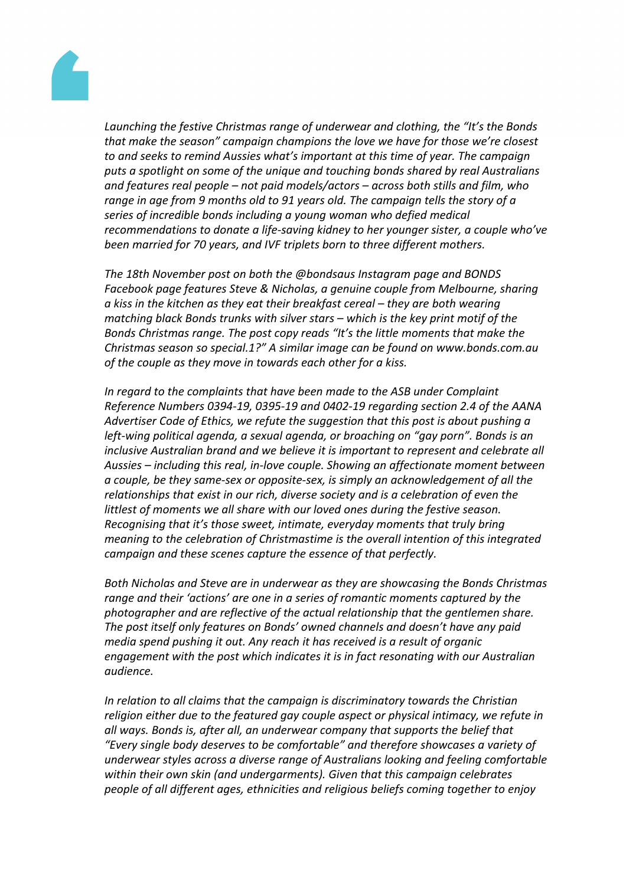

*Launching the festive Christmas range of underwear and clothing, the "It's the Bonds that make the season" campaign champions the love we have for those we're closest to and seeks to remind Aussies what's important at this time of year. The campaign puts a spotlight on some of the unique and touching bonds shared by real Australians and features real people – not paid models/actors – across both stills and film, who range in age from 9 months old to 91 years old. The campaign tells the story of a series of incredible bonds including a young woman who defied medical recommendations to donate a life-saving kidney to her younger sister, a couple who've been married for 70 years, and IVF triplets born to three different mothers.*

*The 18th November post on both the @bondsaus Instagram page and BONDS Facebook page features Steve & Nicholas, a genuine couple from Melbourne, sharing a kiss in the kitchen as they eat their breakfast cereal – they are both wearing matching black Bonds trunks with silver stars – which is the key print motif of the Bonds Christmas range. The post copy reads "It's the little moments that make the Christmas season so special.1?" A similar image can be found on www.bonds.com.au of the couple as they move in towards each other for a kiss.*

*In regard to the complaints that have been made to the ASB under Complaint Reference Numbers 0394-19, 0395-19 and 0402-19 regarding section 2.4 of the AANA Advertiser Code of Ethics, we refute the suggestion that this post is about pushing a left-wing political agenda, a sexual agenda, or broaching on "gay porn". Bonds is an inclusive Australian brand and we believe it is important to represent and celebrate all Aussies – including this real, in-love couple. Showing an affectionate moment between a couple, be they same-sex or opposite-sex, is simply an acknowledgement of all the relationships that exist in our rich, diverse society and is a celebration of even the littlest of moments we all share with our loved ones during the festive season. Recognising that it's those sweet, intimate, everyday moments that truly bring meaning to the celebration of Christmastime is the overall intention of this integrated campaign and these scenes capture the essence of that perfectly.*

*Both Nicholas and Steve are in underwear as they are showcasing the Bonds Christmas range and their 'actions' are one in a series of romantic moments captured by the photographer and are reflective of the actual relationship that the gentlemen share. The post itself only features on Bonds' owned channels and doesn't have any paid media spend pushing it out. Any reach it has received is a result of organic engagement with the post which indicates it is in fact resonating with our Australian audience.* 

*In relation to all claims that the campaign is discriminatory towards the Christian religion either due to the featured gay couple aspect or physical intimacy, we refute in all ways. Bonds is, after all, an underwear company that supports the belief that "Every single body deserves to be comfortable" and therefore showcases a variety of underwear styles across a diverse range of Australians looking and feeling comfortable within their own skin (and undergarments). Given that this campaign celebrates people of all different ages, ethnicities and religious beliefs coming together to enjoy*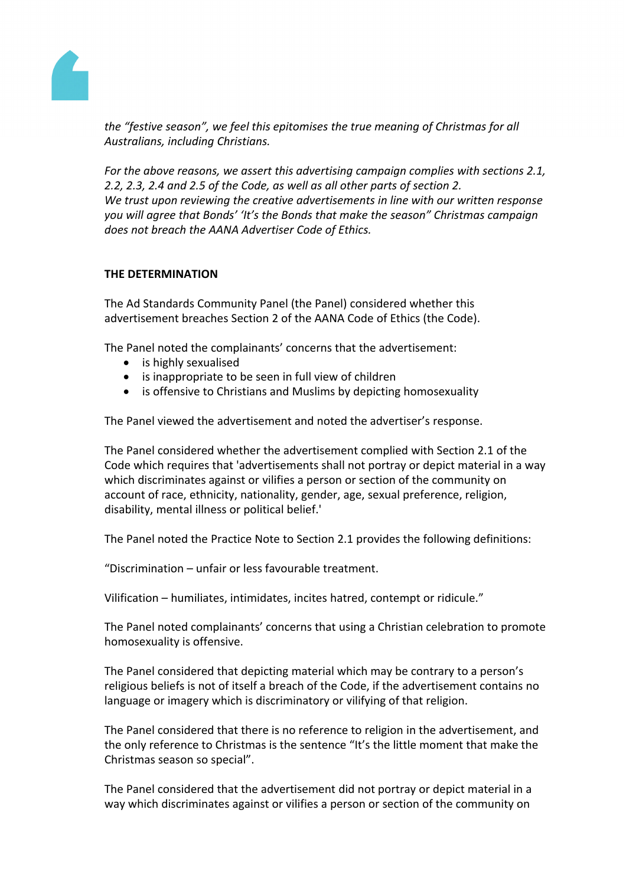

*the "festive season", we feel this epitomises the true meaning of Christmas for all Australians, including Christians.*

*For the above reasons, we assert this advertising campaign complies with sections 2.1, 2.2, 2.3, 2.4 and 2.5 of the Code, as well as all other parts of section 2. We trust upon reviewing the creative advertisements in line with our written response you will agree that Bonds' 'It's the Bonds that make the season" Christmas campaign does not breach the AANA Advertiser Code of Ethics.*

### **THE DETERMINATION**

The Ad Standards Community Panel (the Panel) considered whether this advertisement breaches Section 2 of the AANA Code of Ethics (the Code).

The Panel noted the complainants' concerns that the advertisement:

- is highly sexualised
- is inappropriate to be seen in full view of children
- is offensive to Christians and Muslims by depicting homosexuality

The Panel viewed the advertisement and noted the advertiser's response.

The Panel considered whether the advertisement complied with Section 2.1 of the Code which requires that 'advertisements shall not portray or depict material in a way which discriminates against or vilifies a person or section of the community on account of race, ethnicity, nationality, gender, age, sexual preference, religion, disability, mental illness or political belief.'

The Panel noted the Practice Note to Section 2.1 provides the following definitions:

"Discrimination – unfair or less favourable treatment.

Vilification – humiliates, intimidates, incites hatred, contempt or ridicule."

The Panel noted complainants' concerns that using a Christian celebration to promote homosexuality is offensive.

The Panel considered that depicting material which may be contrary to a person's religious beliefs is not of itself a breach of the Code, if the advertisement contains no language or imagery which is discriminatory or vilifying of that religion.

The Panel considered that there is no reference to religion in the advertisement, and the only reference to Christmas is the sentence "It's the little moment that make the Christmas season so special".

The Panel considered that the advertisement did not portray or depict material in a way which discriminates against or vilifies a person or section of the community on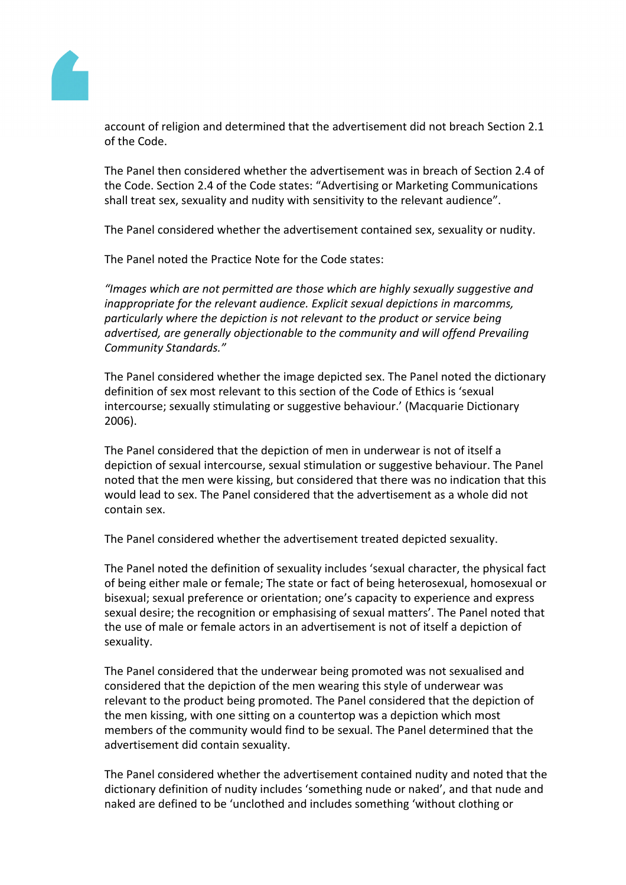

account of religion and determined that the advertisement did not breach Section 2.1 of the Code.

The Panel then considered whether the advertisement was in breach of Section 2.4 of the Code. Section 2.4 of the Code states: "Advertising or Marketing Communications shall treat sex, sexuality and nudity with sensitivity to the relevant audience".

The Panel considered whether the advertisement contained sex, sexuality or nudity.

The Panel noted the Practice Note for the Code states:

*"Images which are not permitted are those which are highly sexually suggestive and inappropriate for the relevant audience. Explicit sexual depictions in marcomms, particularly where the depiction is not relevant to the product or service being advertised, are generally objectionable to the community and will offend Prevailing Community Standards."*

The Panel considered whether the image depicted sex. The Panel noted the dictionary definition of sex most relevant to this section of the Code of Ethics is 'sexual intercourse; sexually stimulating or suggestive behaviour.' (Macquarie Dictionary 2006).

The Panel considered that the depiction of men in underwear is not of itself a depiction of sexual intercourse, sexual stimulation or suggestive behaviour. The Panel noted that the men were kissing, but considered that there was no indication that this would lead to sex. The Panel considered that the advertisement as a whole did not contain sex.

The Panel considered whether the advertisement treated depicted sexuality.

The Panel noted the definition of sexuality includes 'sexual character, the physical fact of being either male or female; The state or fact of being heterosexual, homosexual or bisexual; sexual preference or orientation; one's capacity to experience and express sexual desire; the recognition or emphasising of sexual matters'. The Panel noted that the use of male or female actors in an advertisement is not of itself a depiction of sexuality.

The Panel considered that the underwear being promoted was not sexualised and considered that the depiction of the men wearing this style of underwear was relevant to the product being promoted. The Panel considered that the depiction of the men kissing, with one sitting on a countertop was a depiction which most members of the community would find to be sexual. The Panel determined that the advertisement did contain sexuality.

The Panel considered whether the advertisement contained nudity and noted that the dictionary definition of nudity includes 'something nude or naked', and that nude and naked are defined to be 'unclothed and includes something 'without clothing or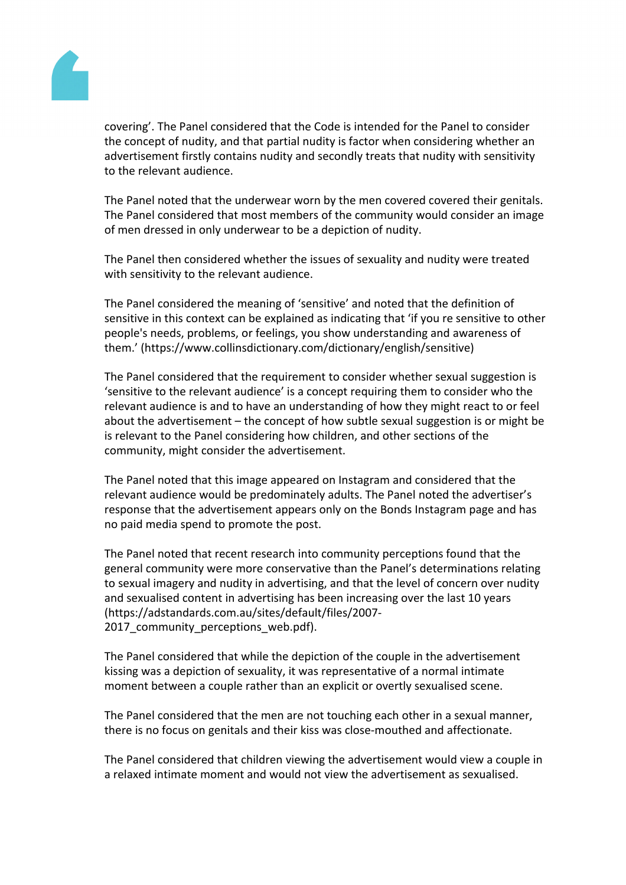

covering'. The Panel considered that the Code is intended for the Panel to consider the concept of nudity, and that partial nudity is factor when considering whether an advertisement firstly contains nudity and secondly treats that nudity with sensitivity to the relevant audience.

The Panel noted that the underwear worn by the men covered covered their genitals. The Panel considered that most members of the community would consider an image of men dressed in only underwear to be a depiction of nudity.

The Panel then considered whether the issues of sexuality and nudity were treated with sensitivity to the relevant audience.

The Panel considered the meaning of 'sensitive' and noted that the definition of sensitive in this context can be explained as indicating that 'if you re sensitive to other people's needs, problems, or feelings, you show understanding and awareness of them.' (https://www.collinsdictionary.com/dictionary/english/sensitive)

The Panel considered that the requirement to consider whether sexual suggestion is 'sensitive to the relevant audience' is a concept requiring them to consider who the relevant audience is and to have an understanding of how they might react to or feel about the advertisement – the concept of how subtle sexual suggestion is or might be is relevant to the Panel considering how children, and other sections of the community, might consider the advertisement.

The Panel noted that this image appeared on Instagram and considered that the relevant audience would be predominately adults. The Panel noted the advertiser's response that the advertisement appears only on the Bonds Instagram page and has no paid media spend to promote the post.

The Panel noted that recent research into community perceptions found that the general community were more conservative than the Panel's determinations relating to sexual imagery and nudity in advertising, and that the level of concern over nudity and sexualised content in advertising has been increasing over the last 10 years (https://adstandards.com.au/sites/default/files/2007- 2017 community perceptions web.pdf).

The Panel considered that while the depiction of the couple in the advertisement kissing was a depiction of sexuality, it was representative of a normal intimate moment between a couple rather than an explicit or overtly sexualised scene.

The Panel considered that the men are not touching each other in a sexual manner, there is no focus on genitals and their kiss was close-mouthed and affectionate.

The Panel considered that children viewing the advertisement would view a couple in a relaxed intimate moment and would not view the advertisement as sexualised.